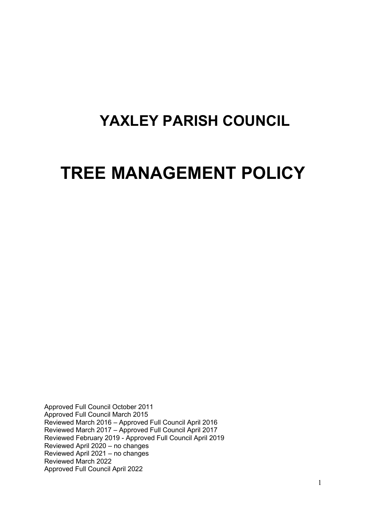## **YAXLEY PARISH COUNCIL**

# **TREE MANAGEMENT POLICY**

Approved Full Council October 2011 Approved Full Council March 2015 Reviewed March 2016 – Approved Full Council April 2016 Reviewed March 2017 – Approved Full Council April 2017 Reviewed February 2019 - Approved Full Council April 2019 Reviewed April 2020 – no changes Reviewed April 2021 – no changes Reviewed March 2022 Approved Full Council April 2022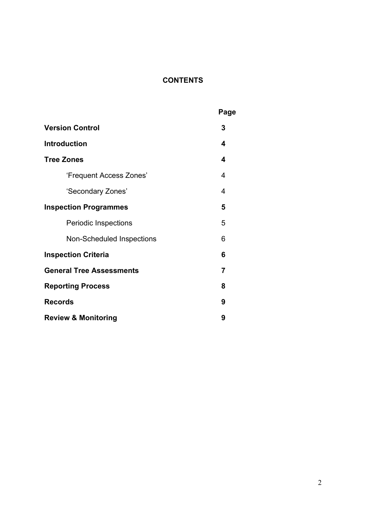### **CONTENTS**

|                                  | Page |
|----------------------------------|------|
| <b>Version Control</b>           | 3    |
| <b>Introduction</b>              | 4    |
| <b>Tree Zones</b>                | 4    |
| 'Frequent Access Zones'          | 4    |
| 'Secondary Zones'                | 4    |
| <b>Inspection Programmes</b>     | 5    |
| <b>Periodic Inspections</b>      | 5    |
| <b>Non-Scheduled Inspections</b> | 6    |
| <b>Inspection Criteria</b>       |      |
| <b>General Tree Assessments</b>  | 7    |
| <b>Reporting Process</b>         |      |
| <b>Records</b>                   |      |
| <b>Review &amp; Monitoring</b>   |      |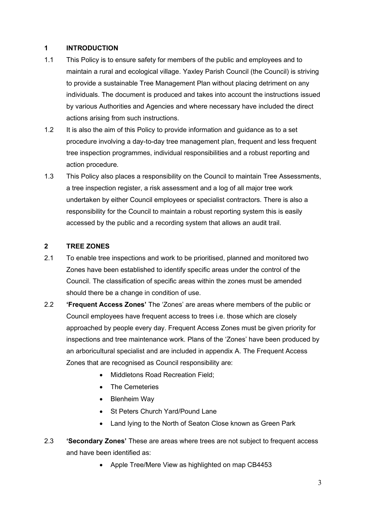#### **1 INTRODUCTION**

- 1.1 This Policy is to ensure safety for members of the public and employees and to maintain a rural and ecological village. Yaxley Parish Council (the Council) is striving to provide a sustainable Tree Management Plan without placing detriment on any individuals. The document is produced and takes into account the instructions issued by various Authorities and Agencies and where necessary have included the direct actions arising from such instructions.
- 1.2 It is also the aim of this Policy to provide information and guidance as to a set procedure involving a day-to-day tree management plan, frequent and less frequent tree inspection programmes, individual responsibilities and a robust reporting and action procedure.
- 1.3 This Policy also places a responsibility on the Council to maintain Tree Assessments, a tree inspection register, a risk assessment and a log of all major tree work undertaken by either Council employees or specialist contractors. There is also a responsibility for the Council to maintain a robust reporting system this is easily accessed by the public and a recording system that allows an audit trail.

#### **2 TREE ZONES**

- 2.1 To enable tree inspections and work to be prioritised, planned and monitored two Zones have been established to identify specific areas under the control of the Council. The classification of specific areas within the zones must be amended should there be a change in condition of use.
- 2.2 **'Frequent Access Zones'** The 'Zones' are areas where members of the public or Council employees have frequent access to trees i.e. those which are closely approached by people every day. Frequent Access Zones must be given priority for inspections and tree maintenance work. Plans of the 'Zones' have been produced by an arboricultural specialist and are included in appendix A. The Frequent Access Zones that are recognised as Council responsibility are:
	- Middletons Road Recreation Field:
	- The Cemeteries
	- Blenheim Way
	- St Peters Church Yard/Pound Lane
	- Land lying to the North of Seaton Close known as Green Park
- 2.3 **'Secondary Zones'** These are areas where trees are not subject to frequent access and have been identified as:
	- Apple Tree/Mere View as highlighted on map CB4453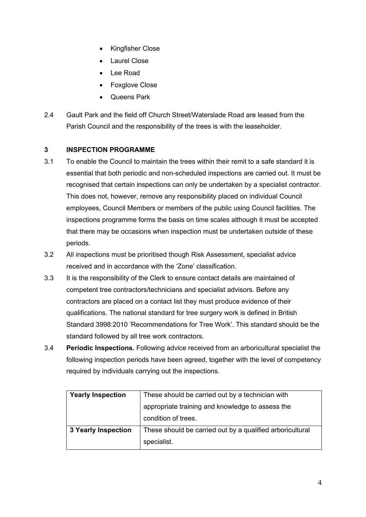- Kingfisher Close
- Laurel Close
- Lee Road
- Foxglove Close
- Queens Park
- 2.4 Gault Park and the field off Church Street/Waterslade Road are leased from the Parish Council and the responsibility of the trees is with the leaseholder.

#### **3 INSPECTION PROGRAMME**

- 3.1 To enable the Council to maintain the trees within their remit to a safe standard it is essential that both periodic and non-scheduled inspections are carried out. It must be recognised that certain inspections can only be undertaken by a specialist contractor. This does not, however, remove any responsibility placed on individual Council employees, Council Members or members of the public using Council facilities. The inspections programme forms the basis on time scales although it must be accepted that there may be occasions when inspection must be undertaken outside of these periods.
- 3.2 All inspections must be prioritised though Risk Assessment, specialist advice received and in accordance with the 'Zone' classification.
- 3.3 It is the responsibility of the Clerk to ensure contact details are maintained of competent tree contractors/technicians and specialist advisors. Before any contractors are placed on a contact list they must produce evidence of their qualifications. The national standard for tree surgery work is defined in British Standard 3998:2010 'Recommendations for Tree Work'. This standard should be the standard followed by all tree work contractors.
- 3.4 **Periodic Inspections.** Following advice received from an arboricultural specialist the following inspection periods have been agreed, together with the level of competency required by individuals carrying out the inspections.

| <b>Yearly Inspection</b>   | These should be carried out by a technician with          |
|----------------------------|-----------------------------------------------------------|
|                            | appropriate training and knowledge to assess the          |
|                            | condition of trees.                                       |
| <b>3 Yearly Inspection</b> | These should be carried out by a qualified arboricultural |
|                            | specialist.                                               |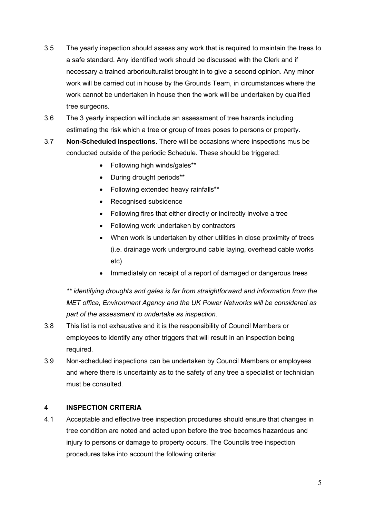- 3.5 The yearly inspection should assess any work that is required to maintain the trees to a safe standard. Any identified work should be discussed with the Clerk and if necessary a trained arboriculturalist brought in to give a second opinion. Any minor work will be carried out in house by the Grounds Team, in circumstances where the work cannot be undertaken in house then the work will be undertaken by qualified tree surgeons.
- 3.6 The 3 yearly inspection will include an assessment of tree hazards including estimating the risk which a tree or group of trees poses to persons or property.
- 3.7 **Non-Scheduled Inspections.** There will be occasions where inspections mus be conducted outside of the periodic Schedule. These should be triggered:
	- Following high winds/gales\*\*
	- During drought periods\*\*
	- Following extended heavy rainfalls\*\*
	- Recognised subsidence
	- Following fires that either directly or indirectly involve a tree
	- Following work undertaken by contractors
	- When work is undertaken by other utilities in close proximity of trees (i.e. drainage work underground cable laying, overhead cable works etc)
	- Immediately on receipt of a report of damaged or dangerous trees

*\*\* identifying droughts and gales is far from straightforward and information from the MET office, Environment Agency and the UK Power Networks will be considered as part of the assessment to undertake as inspection.*

- 3.8 This list is not exhaustive and it is the responsibility of Council Members or employees to identify any other triggers that will result in an inspection being required.
- 3.9 Non-scheduled inspections can be undertaken by Council Members or employees and where there is uncertainty as to the safety of any tree a specialist or technician must be consulted.

#### **4 INSPECTION CRITERIA**

4.1 Acceptable and effective tree inspection procedures should ensure that changes in tree condition are noted and acted upon before the tree becomes hazardous and injury to persons or damage to property occurs. The Councils tree inspection procedures take into account the following criteria: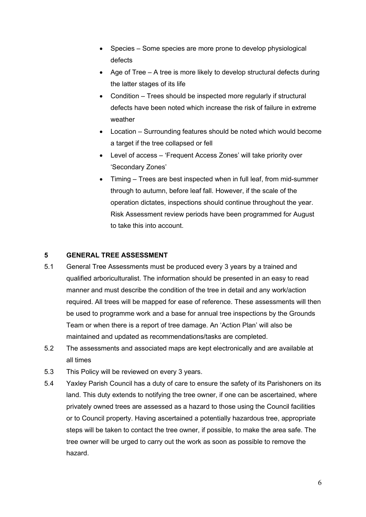- Species Some species are more prone to develop physiological defects
- Age of Tree A tree is more likely to develop structural defects during the latter stages of its life
- Condition Trees should be inspected more regularly if structural defects have been noted which increase the risk of failure in extreme weather
- Location Surrounding features should be noted which would become a target if the tree collapsed or fell
- Level of access 'Frequent Access Zones' will take priority over 'Secondary Zones'
- Timing Trees are best inspected when in full leaf, from mid-summer through to autumn, before leaf fall. However, if the scale of the operation dictates, inspections should continue throughout the year. Risk Assessment review periods have been programmed for August to take this into account.

#### **5 GENERAL TREE ASSESSMENT**

- 5.1 General Tree Assessments must be produced every 3 years by a trained and qualified arboriculturalist. The information should be presented in an easy to read manner and must describe the condition of the tree in detail and any work/action required. All trees will be mapped for ease of reference. These assessments will then be used to programme work and a base for annual tree inspections by the Grounds Team or when there is a report of tree damage. An 'Action Plan' will also be maintained and updated as recommendations/tasks are completed.
- 5.2 The assessments and associated maps are kept electronically and are available at all times
- 5.3 This Policy will be reviewed on every 3 years.
- 5.4 Yaxley Parish Council has a duty of care to ensure the safety of its Parishoners on its land. This duty extends to notifying the tree owner, if one can be ascertained, where privately owned trees are assessed as a hazard to those using the Council facilities or to Council property. Having ascertained a potentially hazardous tree, appropriate steps will be taken to contact the tree owner, if possible, to make the area safe. The tree owner will be urged to carry out the work as soon as possible to remove the hazard.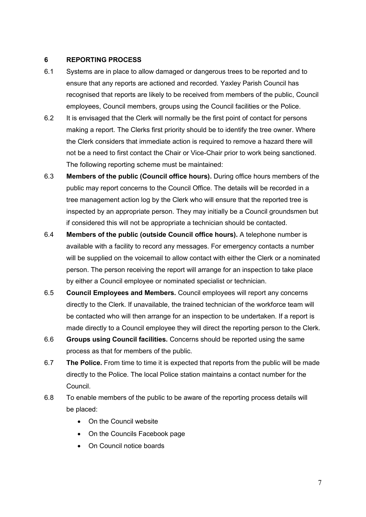#### **6 REPORTING PROCESS**

- 6.1 Systems are in place to allow damaged or dangerous trees to be reported and to ensure that any reports are actioned and recorded. Yaxley Parish Council has recognised that reports are likely to be received from members of the public, Council employees, Council members, groups using the Council facilities or the Police.
- 6.2 It is envisaged that the Clerk will normally be the first point of contact for persons making a report. The Clerks first priority should be to identify the tree owner. Where the Clerk considers that immediate action is required to remove a hazard there will not be a need to first contact the Chair or Vice-Chair prior to work being sanctioned. The following reporting scheme must be maintained:
- 6.3 **Members of the public (Council office hours).** During office hours members of the public may report concerns to the Council Office. The details will be recorded in a tree management action log by the Clerk who will ensure that the reported tree is inspected by an appropriate person. They may initially be a Council groundsmen but if considered this will not be appropriate a technician should be contacted.
- 6.4 **Members of the public (outside Council office hours).** A telephone number is available with a facility to record any messages. For emergency contacts a number will be supplied on the voicemail to allow contact with either the Clerk or a nominated person. The person receiving the report will arrange for an inspection to take place by either a Council employee or nominated specialist or technician.
- 6.5 **Council Employees and Members.** Council employees will report any concerns directly to the Clerk. If unavailable, the trained technician of the workforce team will be contacted who will then arrange for an inspection to be undertaken. If a report is made directly to a Council employee they will direct the reporting person to the Clerk.
- 6.6 **Groups using Council facilities.** Concerns should be reported using the same process as that for members of the public.
- 6.7 **The Police.** From time to time it is expected that reports from the public will be made directly to the Police. The local Police station maintains a contact number for the Council.
- 6.8 To enable members of the public to be aware of the reporting process details will be placed:
	- On the Council website
	- On the Councils Facebook page
	- On Council notice boards